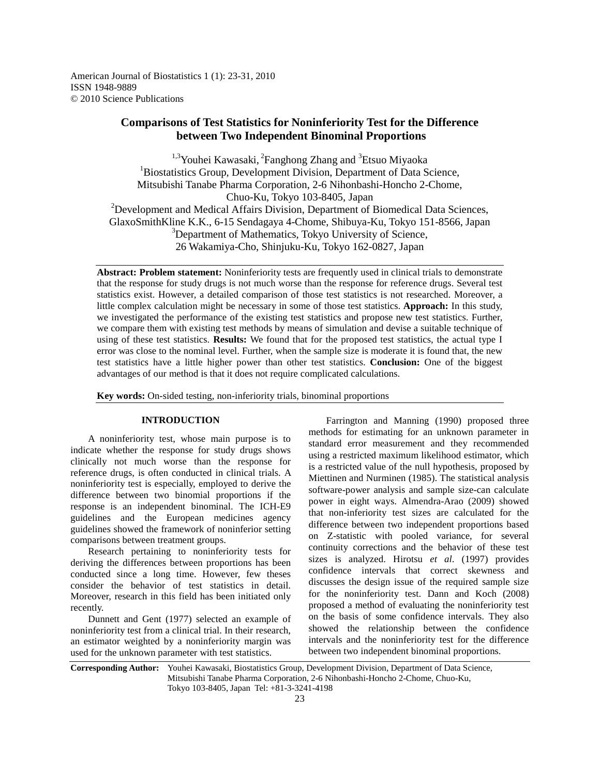American Journal of Biostatistics 1 (1): 23-31, 2010 ISSN 1948-9889 © 2010 Science Publications

# **Comparisons of Test Statistics for Noninferiority Test for the Difference between Two Independent Binominal Proportions**

 $1,3$ Youhei Kawasaki, <sup>2</sup>Fanghong Zhang and  $3$ Etsuo Miyaoka <sup>1</sup>Biostatistics Group, Development Division, Department of Data Science, Mitsubishi Tanabe Pharma Corporation, 2-6 Nihonbashi-Honcho 2-Chome, Chuo-Ku, Tokyo 103-8405, Japan <sup>2</sup>Development and Medical Affairs Division, Department of Biomedical Data Sciences, GlaxoSmithKline K.K., 6-15 Sendagaya 4-Chome, Shibuya-Ku, Tokyo 151-8566, Japan <sup>3</sup>Department of Mathematics, Tokyo University of Science, 26 Wakamiya-Cho, Shinjuku-Ku, Tokyo 162-0827, Japan

**Abstract: Problem statement:** Noninferiority tests are frequently used in clinical trials to demonstrate that the response for study drugs is not much worse than the response for reference drugs. Several test statistics exist. However, a detailed comparison of those test statistics is not researched. Moreover, a little complex calculation might be necessary in some of those test statistics. **Approach:** In this study, we investigated the performance of the existing test statistics and propose new test statistics. Further, we compare them with existing test methods by means of simulation and devise a suitable technique of using of these test statistics. **Results:** We found that for the proposed test statistics, the actual type I error was close to the nominal level. Further, when the sample size is moderate it is found that, the new test statistics have a little higher power than other test statistics. **Conclusion:** One of the biggest advantages of our method is that it does not require complicated calculations.

**Key words:** On-sided testing, non-inferiority trials, binominal proportions

### **INTRODUCTION**

 A noninferiority test, whose main purpose is to indicate whether the response for study drugs shows clinically not much worse than the response for reference drugs, is often conducted in clinical trials. A noninferiority test is especially, employed to derive the difference between two binomial proportions if the response is an independent binominal. The ICH-E9 guidelines and the European medicines agency guidelines showed the framework of noninferior setting comparisons between treatment groups.

 Research pertaining to noninferiority tests for deriving the differences between proportions has been conducted since a long time. However, few theses consider the behavior of test statistics in detail. Moreover, research in this field has been initiated only recently.

 Dunnett and Gent (1977) selected an example of noninferiority test from a clinical trial. In their research, an estimator weighted by a noninferiority margin was used for the unknown parameter with test statistics.

 Farrington and Manning (1990) proposed three methods for estimating for an unknown parameter in standard error measurement and they recommended using a restricted maximum likelihood estimator, which is a restricted value of the null hypothesis, proposed by Miettinen and Nurminen (1985). The statistical analysis software-power analysis and sample size-can calculate power in eight ways. Almendra-Arao (2009) showed that non-inferiority test sizes are calculated for the difference between two independent proportions based on Z-statistic with pooled variance, for several continuity corrections and the behavior of these test sizes is analyzed. Hirotsu *et al*. (1997) provides confidence intervals that correct skewness and discusses the design issue of the required sample size for the noninferiority test. Dann and Koch (2008) proposed a method of evaluating the noninferiority test on the basis of some confidence intervals. They also showed the relationship between the confidence intervals and the noninferiority test for the difference between two independent binominal proportions.

**Corresponding Author:** Youhei Kawasaki, Biostatistics Group, Development Division, Department of Data Science, Mitsubishi Tanabe Pharma Corporation, 2-6 Nihonbashi-Honcho 2-Chome, Chuo-Ku, Tokyo 103-8405, Japan Tel: +81-3-3241-4198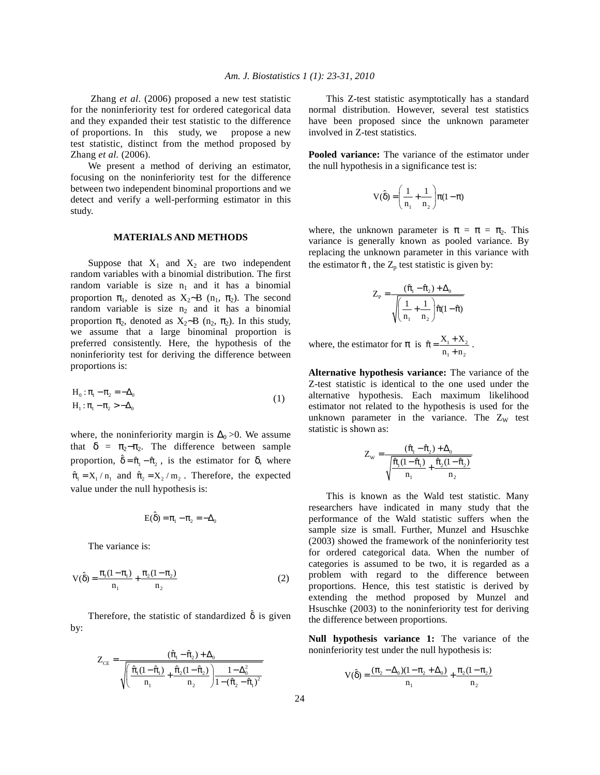Zhang *et al*. (2006) proposed a new test statistic for the noninferiority test for ordered categorical data and they expanded their test statistic to the difference of proportions. In this study, we propose a new test statistic, distinct from the method proposed by Zhang *et al.* (2006).

 We present a method of deriving an estimator, focusing on the noninferiority test for the difference between two independent binominal proportions and we detect and verify a well-performing estimator in this study.

### **MATERIALS AND METHODS**

Suppose that  $X_1$  and  $X_2$  are two independent random variables with a binomial distribution. The first random variable is size  $n_1$  and it has a binomial proportion  $\pi_1$ , denoted as X<sub>2</sub>∼B (n<sub>1</sub>,  $\pi_2$ ). The second random variable is size  $n_2$  and it has a binomial proportion  $π_2$ , denoted as  $X_2~B$  (n<sub>2</sub>,  $π_2$ ). In this study, we assume that a large binominal proportion is preferred consistently. Here, the hypothesis of the noninferiority test for deriving the difference between proportions is:

$$
H_0: \pi_1 - \pi_2 = -\Delta_0
$$
  
\n
$$
H_1: \pi_1 - \pi_2 > -\Delta_0
$$
\n(1)

where, the noninferiority margin is  $\Delta_0 > 0$ . We assume that  $\delta = \pi_2 - \pi_2$ . The difference between sample proportion,  $\hat{\delta} = \hat{\pi}_1 - \hat{\pi}_2$ , is the estimator for  $\delta$ , where  $\hat{\pi}_1 = X_1 / n_1$  and  $\hat{\pi}_2 = X_2 / m_2$ . Therefore, the expected value under the null hypothesis is:

$$
E(\hat{\delta}) = \pi_1 - \pi_2 = -\Delta_0
$$

The variance is:

$$
V(\hat{\delta}) = \frac{\pi_1(1 - \pi_1)}{n_1} + \frac{\pi_2(1 - \pi_2)}{n_2}
$$
 (2)

Therefore, the statistic of standardized  $\hat{\delta}$  is given by:

$$
Z_{CE} = \frac{(\hat{\pi}_1 - \hat{\pi}_2) + \Delta_0}{\sqrt{\left(\frac{\hat{\pi}_1(1 - \hat{\pi}_1)}{n_1} + \frac{\hat{\pi}_2(1 - \hat{\pi}_2)}{n_2}\right) \frac{1 - \Delta_0^2}{1 - (\hat{\pi}_2 - \hat{\pi}_1)^2}}}
$$

 This Z-test statistic asymptotically has a standard normal distribution. However, several test statistics have been proposed since the unknown parameter involved in Z-test statistics.

**Pooled variance:** The variance of the estimator under the null hypothesis in a significance test is:

$$
V(\hat{\delta}) = \left(\frac{1}{n_1} + \frac{1}{n_2}\right)\pi(1-\pi)
$$

where, the unknown parameter is  $\pi = \pi = \pi_2$ . This variance is generally known as pooled variance. By replacing the unknown parameter in this variance with the estimator  $\hat{\pi}$ , the  $Z_p$  test statistic is given by:

$$
Z_{\mathrm{p}} = \frac{(\hat{\pi}_\mathrm{l} - \hat{\pi}_2) + \Delta_0}{\sqrt{\left(\frac{1}{n_\mathrm{l}} + \frac{1}{n_\mathrm{2}}\right)}\hat{\pi}(1 - \hat{\pi})}
$$

where, the estimator for  $\pi$  is  $\hat{\pi} = \frac{X_1 + X_2}{\pi}$  $1 + \mathbf{u}_2$  $\hat{\pi} = \frac{X_1 + X}{n_1 + n_2}$  $\hat{\pi} = \frac{X_1 + X_2}{n_1 + n_2}$ .

**Alternative hypothesis variance:** The variance of the Z-test statistic is identical to the one used under the alternative hypothesis. Each maximum likelihood estimator not related to the hypothesis is used for the unknown parameter in the variance. The  $Z_W$  test statistic is shown as:

$$
Z_{w} = \frac{(\hat{\pi}_{1} - \hat{\pi}_{2}) + \Delta_{0}}{\sqrt{\frac{\hat{\pi}_{1}(1 - \hat{\pi}_{1})}{n_{1}} + \frac{\hat{\pi}_{2}(1 - \hat{\pi}_{2})}{n_{2}}}}
$$

 This is known as the Wald test statistic. Many researchers have indicated in many study that the performance of the Wald statistic suffers when the sample size is small. Further, Munzel and Hsuschke (2003) showed the framework of the noninferiority test for ordered categorical data. When the number of categories is assumed to be two, it is regarded as a problem with regard to the difference between proportions. Hence, this test statistic is derived by extending the method proposed by Munzel and Hsuschke (2003) to the noninferiority test for deriving the difference between proportions.

**Null hypothesis variance 1:** The variance of the noninferiority test under the null hypothesis is:

$$
V(\hat{\delta}) = \frac{(\pi_2 - \Delta_0)(1 - \pi_2 + \Delta_0)}{n_1} + \frac{\pi_2(1 - \pi_2)}{n_2}
$$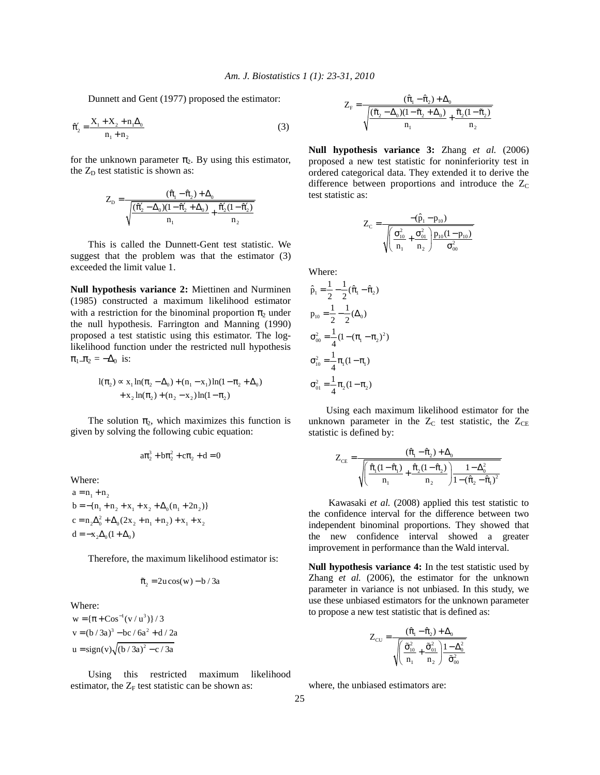Dunnett and Gent (1977) proposed the estimator:

$$
\hat{\pi}'_2 = \frac{X_1 + X_2 + n_1 \Delta_0}{n_1 + n_2} \tag{3}
$$

for the unknown parameter  $\pi_2$ . By using this estimator, the  $Z_D$  test statistic is shown as:

$$
Z_{\rm D} = \frac{(\hat{\pi}_1 - \hat{\pi}_2) + \Delta_0}{\sqrt{\frac{(\hat{\pi}_2' - \Delta_0)(1 - \hat{\pi}_2' + \Delta_0)}{n_1} + \frac{\hat{\pi}_2'(1 - \hat{\pi}_2')}{n_2}}}
$$

 This is called the Dunnett-Gent test statistic. We suggest that the problem was that the estimator (3) exceeded the limit value 1.

**Null hypothesis variance 2:** Miettinen and Nurminen (1985) constructed a maximum likelihood estimator with a restriction for the binominal proportion  $\pi_2$  under the null hypothesis. Farrington and Manning (1990) proposed a test statistic using this estimator. The loglikelihood function under the restricted null hypothesis  $\pi_{1}$ <sub>-</sub> $\pi_{2}$  =  $-\Delta_{0}$  is:

$$
l(\pi_2) \propto x_1 \ln(\pi_2 - \Delta_0) + (n_1 - x_1) \ln(1 - \pi_2 + \Delta_0)
$$
  
+ 
$$
x_2 \ln(\pi_2) + (n_2 - x_2) \ln(1 - \pi_2)
$$

The solution  $\pi_2$ , which maximizes this function is given by solving the following cubic equation:

$$
a\pi_2^3 + b\pi_2^2 + c\pi_2 + d = 0
$$

Where:

 $a = n_1 + n_2$  $b = -\{n_1 + n_2 + x_1 + x_2 + \Delta_0(n_1 + 2n_2)\}$  $c = n_2 \Delta_0^2 + \Delta_0 (2x_2 + n_1 + n_2) + x_1 + x_2$  $d = -x_2 \Delta_0 (1 + \Delta_0)$ 

Therefore, the maximum likelihood estimator is:

$$
\tilde{\pi}_2 = 2u\cos(w) - b / 3a
$$

Where:  $w = {\pi + \cos^{-1}(v/u^3)} / 3$  $v = (b / 3a)^3 - bc / 6a^2 + d / 2a$  $u = sign(v)\sqrt{(b/3a)^2 - c/3a}$ 

 Using this restricted maximum likelihood estimator, the  $Z_F$  test statistic can be shown as:

$$
Z_{F} = \frac{(\hat{\pi}_1 - \hat{\pi}_2) + \Delta_0}{\sqrt{\frac{(\tilde{\pi}_2 - \Delta_0)(1 - \tilde{\pi}_2 + \Delta_0)}{n_1} + \frac{\tilde{\pi}_2(1 - \tilde{\pi}_2)}{n_2}}}
$$

**Null hypothesis variance 3:** Zhang *et al.* (2006) proposed a new test statistic for noninferiority test in ordered categorical data. They extended it to derive the difference between proportions and introduce the  $Z_C$ test statistic as:

$$
Z_{C}=\dfrac{-(\hat{p}_{\mathrm{1}}-p_{\mathrm{10}})}{\sqrt{\left(\dfrac{\sigma_{\mathrm{10}}^{2}}{n_{\mathrm{1}}}+\dfrac{\sigma_{\mathrm{01}}^{2}}{n_{\mathrm{2}}}\right) p_{\mathrm{10}}(1-p_{\mathrm{10}})}\dfrac{1}{\sigma_{\mathrm{00}}^{2}}}
$$

Where:

$$
\hat{p}_1 = \frac{1}{2} - \frac{1}{2} (\hat{\pi}_1 - \hat{\pi}_2)
$$
  
\n
$$
p_{10} = \frac{1}{2} - \frac{1}{2} (\Delta_0)
$$
  
\n
$$
\sigma_{00}^2 = \frac{1}{4} (1 - (\pi_1 - \pi_2)^2)
$$
  
\n
$$
\sigma_{10}^2 = \frac{1}{4} \pi_1 (1 - \pi_1)
$$
  
\n
$$
\sigma_{01}^2 = \frac{1}{4} \pi_2 (1 - \pi_2)
$$

 Using each maximum likelihood estimator for the unknown parameter in the  $Z_{\text{C}}$  test statistic, the  $Z_{\text{CE}}$ statistic is defined by:

$$
Z_{CE} = \frac{(\hat{\pi}_1 - \hat{\pi}_2) + \Delta_0}{\sqrt{\left(\frac{\hat{\pi}_1(1 - \hat{\pi}_1)}{n_1} + \frac{\hat{\pi}_2(1 - \hat{\pi}_2)}{n_2}\right) \frac{1 - \Delta_0^2}{1 - (\hat{\pi}_2 - \hat{\pi}_1)^2}}}
$$

 Kawasaki *et al.* (2008) applied this test statistic to the confidence interval for the difference between two independent binominal proportions. They showed that the new confidence interval showed a greater improvement in performance than the Wald interval.

**Null hypothesis variance 4:** In the test statistic used by Zhang *et al.* (2006), the estimator for the unknown parameter in variance is not unbiased. In this study, we use these unbiased estimators for the unknown parameter to propose a new test statistic that is defined as:

$$
Z_{CU} = \frac{(\hat{\pi}_1 - \hat{\pi}_2) + \Delta_0}{\sqrt{\left(\frac{\tilde{\sigma}_{10}^2}{n_1} + \frac{\tilde{\sigma}_{01}^2}{n_2}\right) \frac{1 - \Delta_0^2}{\tilde{\sigma}_{00}^2}}}
$$

where, the unbiased estimators are: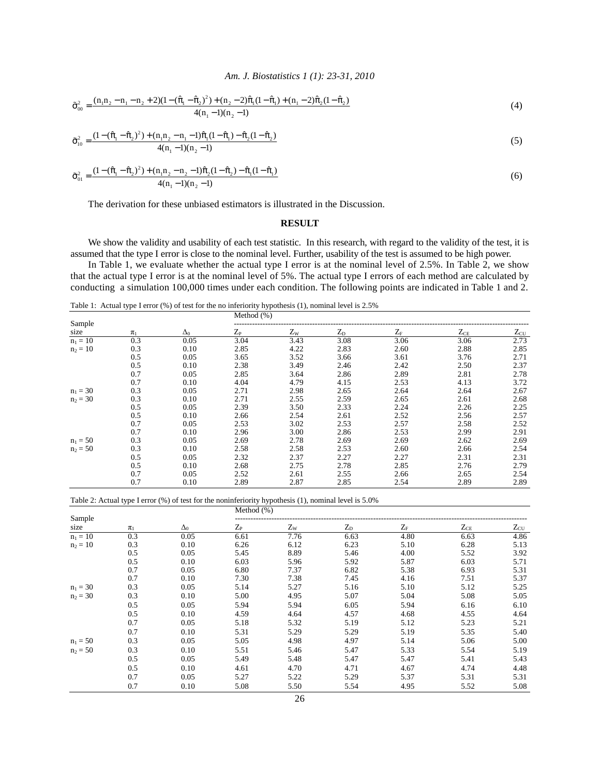# *Am. J. Biostatistics 1 (1): 23-31, 2010*

$$
\tilde{\sigma}_{00}^{2} = \frac{(n_{1}n_{2} - n_{1} - n_{2} + 2)(1 - (\hat{\pi}_{1} - \hat{\pi}_{2})^{2}) + (n_{2} - 2)\hat{\pi}_{1}(1 - \hat{\pi}_{1}) + (n_{1} - 2)\hat{\pi}_{2}(1 - \hat{\pi}_{2})}{4(n_{1} - 1)(n_{2} - 1)}
$$
\n(4)

$$
\tilde{\sigma}_{10}^{2} = \frac{(1 - (\hat{\pi}_{1} - \hat{\pi}_{2})^{2}) + (n_{1}n_{2} - n_{1} - 1)\hat{\pi}_{1}(1 - \hat{\pi}_{1}) - \hat{\pi}_{2}(1 - \hat{\pi}_{2})}{4(n_{1} - 1)(n_{2} - 1)}
$$
\n(5)

$$
\tilde{\sigma}_{01}^2 = \frac{(1 - (\hat{\pi}_1 - \hat{\pi}_2)^2) + (n_1 n_2 - n_2 - 1)\hat{\pi}_2(1 - \hat{\pi}_2) - \hat{\pi}_1(1 - \hat{\pi}_1)}{4(n_1 - 1)(n_2 - 1)}
$$
(6)

The derivation for these unbiased estimators is illustrated in the Discussion.

## **RESULT**

 We show the validity and usability of each test statistic. In this research, with regard to the validity of the test, it is assumed that the type I error is close to the nominal level. Further, usability of the test is assumed to be high power.

 In Table 1, we evaluate whether the actual type I error is at the nominal level of 2.5%. In Table 2, we show that the actual type I error is at the nominal level of 5%. The actual type I errors of each method are calculated by conducting a simulation 100,000 times under each condition. The following points are indicated in Table 1 and 2.

Table 1: Actual type I error (%) of test for the no inferiority hypothesis (1), nominal level is 2.5%

|            |         |            | Method $(\%)$ |             |         |                               |          |              |  |
|------------|---------|------------|---------------|-------------|---------|-------------------------------|----------|--------------|--|
| Sample     |         |            |               |             |         |                               |          |              |  |
| size       | $\pi_1$ | $\Delta_0$ | $Z_{\rm P}$   | $Z_{\rm W}$ | $Z_{D}$ | $Z_{\scriptscriptstyle\rm F}$ | $Z_{CE}$ | $Z_{\rm CU}$ |  |
| $n_1 = 10$ | 0.3     | 0.05       | 3.04          | 3.43        | 3.08    | 3.06                          | 3.06     | 2.73         |  |
| $n_2 = 10$ | 0.3     | 0.10       | 2.85          | 4.22        | 2.83    | 2.60                          | 2.88     | 2.85         |  |
|            | 0.5     | 0.05       | 3.65          | 3.52        | 3.66    | 3.61                          | 3.76     | 2.71         |  |
|            | 0.5     | 0.10       | 2.38          | 3.49        | 2.46    | 2.42                          | 2.50     | 2.37         |  |
|            | 0.7     | 0.05       | 2.85          | 3.64        | 2.86    | 2.89                          | 2.81     | 2.78         |  |
|            | 0.7     | 0.10       | 4.04          | 4.79        | 4.15    | 2.53                          | 4.13     | 3.72         |  |
| $n_1 = 30$ | 0.3     | 0.05       | 2.71          | 2.98        | 2.65    | 2.64                          | 2.64     | 2.67         |  |
| $n_2 = 30$ | 0.3     | 0.10       | 2.71          | 2.55        | 2.59    | 2.65                          | 2.61     | 2.68         |  |
|            | 0.5     | 0.05       | 2.39          | 3.50        | 2.33    | 2.24                          | 2.26     | 2.25         |  |
|            | 0.5     | 0.10       | 2.66          | 2.54        | 2.61    | 2.52                          | 2.56     | 2.57         |  |
|            | 0.7     | 0.05       | 2.53          | 3.02        | 2.53    | 2.57                          | 2.58     | 2.52         |  |
|            | 0.7     | 0.10       | 2.96          | 3.00        | 2.86    | 2.53                          | 2.99     | 2.91         |  |
| $n_1 = 50$ | 0.3     | 0.05       | 2.69          | 2.78        | 2.69    | 2.69                          | 2.62     | 2.69         |  |
| $n_2 = 50$ | 0.3     | 0.10       | 2.58          | 2.58        | 2.53    | 2.60                          | 2.66     | 2.54         |  |
|            | 0.5     | 0.05       | 2.32          | 2.37        | 2.27    | 2.27                          | 2.31     | 2.31         |  |
|            | 0.5     | 0.10       | 2.68          | 2.75        | 2.78    | 2.85                          | 2.76     | 2.79         |  |
|            | 0.7     | 0.05       | 2.52          | 2.61        | 2.55    | 2.66                          | 2.65     | 2.54         |  |
|            | 0.7     | 0.10       | 2.89          | 2.87        | 2.85    | 2.54                          | 2.89     | 2.89         |  |

Table 2: Actual type I error (%) of test for the noninferiority hypothesis (1), nominal level is 5.0%

|                |         | $\Delta_0$ | Method $(\%)$ |             |         |             |          |              |  |
|----------------|---------|------------|---------------|-------------|---------|-------------|----------|--------------|--|
| Sample<br>size | $\pi_1$ |            | $Z_{\rm P}$   | $Z_{\rm W}$ | $Z_{D}$ | $Z_{\rm F}$ | $Z_{CE}$ | $Z_{\rm CU}$ |  |
| $n_1 = 10$     | 0.3     | 0.05       | 6.61          | 7.76        | 6.63    | 4.80        | 6.63     | 4.86         |  |
| $n_2 = 10$     | 0.3     | 0.10       | 6.26          | 6.12        | 6.23    | 5.10        | 6.28     | 5.13         |  |
|                | 0.5     | 0.05       | 5.45          | 8.89        | 5.46    | 4.00        | 5.52     | 3.92         |  |
|                | 0.5     | 0.10       | 6.03          | 5.96        | 5.92    | 5.87        | 6.03     | 5.71         |  |
|                | 0.7     | 0.05       | 6.80          | 7.37        | 6.82    | 5.38        | 6.93     | 5.31         |  |
|                | 0.7     | 0.10       | 7.30          | 7.38        | 7.45    | 4.16        | 7.51     | 5.37         |  |
| $n_1 = 30$     | 0.3     | 0.05       | 5.14          | 5.27        | 5.16    | 5.10        | 5.12     | 5.25         |  |
| $n_2 = 30$     | 0.3     | 0.10       | 5.00          | 4.95        | 5.07    | 5.04        | 5.08     | 5.05         |  |
|                | 0.5     | 0.05       | 5.94          | 5.94        | 6.05    | 5.94        | 6.16     | 6.10         |  |
|                | 0.5     | 0.10       | 4.59          | 4.64        | 4.57    | 4.68        | 4.55     | 4.64         |  |
|                | 0.7     | 0.05       | 5.18          | 5.32        | 5.19    | 5.12        | 5.23     | 5.21         |  |
|                | 0.7     | 0.10       | 5.31          | 5.29        | 5.29    | 5.19        | 5.35     | 5.40         |  |
| $n_1 = 50$     | 0.3     | 0.05       | 5.05          | 4.98        | 4.97    | 5.14        | 5.06     | 5.00         |  |
| $n_2 = 50$     | 0.3     | 0.10       | 5.51          | 5.46        | 5.47    | 5.33        | 5.54     | 5.19         |  |
|                | 0.5     | 0.05       | 5.49          | 5.48        | 5.47    | 5.47        | 5.41     | 5.43         |  |
|                | 0.5     | 0.10       | 4.61          | 4.70        | 4.71    | 4.67        | 4.74     | 4.48         |  |
|                | 0.7     | 0.05       | 5.27          | 5.22        | 5.29    | 5.37        | 5.31     | 5.31         |  |
|                | 0.7     | 0.10       | 5.08          | 5.50        | 5.54    | 4.95        | 5.52     | 5.08         |  |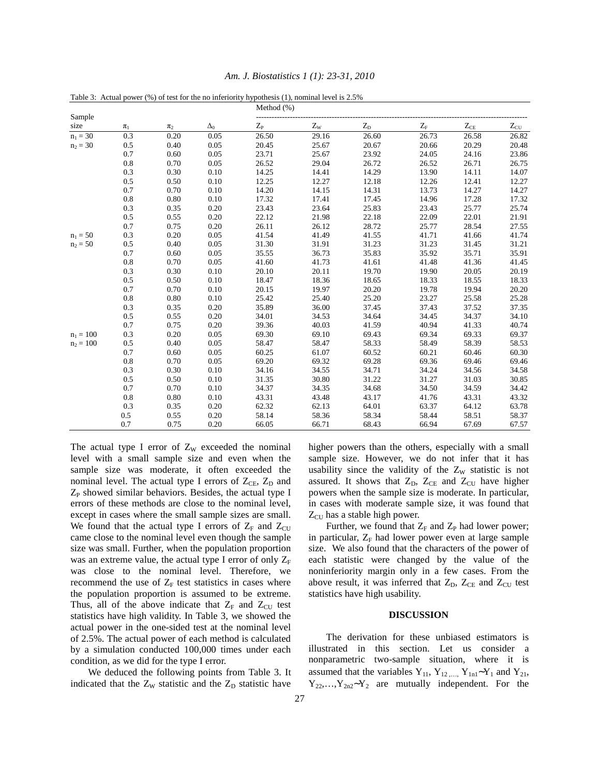|                |         |         |            | Method (%)  |             |         |             |          |              |  |
|----------------|---------|---------|------------|-------------|-------------|---------|-------------|----------|--------------|--|
| Sample<br>size | $\pi_1$ | $\pi_2$ | $\Delta_0$ | $Z_{\rm P}$ | $Z_{\rm W}$ | $Z_{D}$ | $Z_{\rm F}$ | $Z_{CE}$ | $Z_{\rm CU}$ |  |
| $n_1 = 30$     | 0.3     | 0.20    | 0.05       | 26.50       | 29.16       | 26.60   | 26.73       | 26.58    | 26.82        |  |
| $n_2 = 30$     | 0.5     | 0.40    | 0.05       | 20.45       | 25.67       | 20.67   | 20.66       | 20.29    | 20.48        |  |
|                | 0.7     | 0.60    | 0.05       | 23.71       | 25.67       | 23.92   | 24.05       | 24.16    | 23.86        |  |
|                | 0.8     | 0.70    | 0.05       | 26.52       | 29.04       | 26.72   | 26.52       | 26.71    | 26.75        |  |
|                | 0.3     | 0.30    | 0.10       | 14.25       | 14.41       | 14.29   | 13.90       | 14.11    | 14.07        |  |
|                | 0.5     | 0.50    | 0.10       | 12.25       | 12.27       | 12.18   | 12.26       | 12.41    | 12.27        |  |
|                | 0.7     | 0.70    | 0.10       | 14.20       | 14.15       | 14.31   | 13.73       | 14.27    | 14.27        |  |
|                | 0.8     | 0.80    | 0.10       | 17.32       | 17.41       | 17.45   | 14.96       | 17.28    | 17.32        |  |
|                | 0.3     | 0.35    | 0.20       | 23.43       | 23.64       | 25.83   | 23.43       | 25.77    | 25.74        |  |
|                | 0.5     | 0.55    | 0.20       | 22.12       | 21.98       | 22.18   | 22.09       | 22.01    | 21.91        |  |
|                | 0.7     | 0.75    | 0.20       | 26.11       | 26.12       | 28.72   | 25.77       | 28.54    | 27.55        |  |
| $n_1 = 50$     | 0.3     | 0.20    | 0.05       | 41.54       | 41.49       | 41.55   | 41.71       | 41.66    | 41.74        |  |
| $n_2 = 50$     | 0.5     | 0.40    | 0.05       | 31.30       | 31.91       | 31.23   | 31.23       | 31.45    | 31.21        |  |
|                | 0.7     | 0.60    | 0.05       | 35.55       | 36.73       | 35.83   | 35.92       | 35.71    | 35.91        |  |
|                | 0.8     | 0.70    | 0.05       | 41.60       | 41.73       | 41.61   | 41.48       | 41.36    | 41.45        |  |
|                | 0.3     | 0.30    | 0.10       | 20.10       | 20.11       | 19.70   | 19.90       | 20.05    | 20.19        |  |
|                | 0.5     | 0.50    | 0.10       | 18.47       | 18.36       | 18.65   | 18.33       | 18.55    | 18.33        |  |
|                | 0.7     | 0.70    | 0.10       | 20.15       | 19.97       | 20.20   | 19.78       | 19.94    | 20.20        |  |
|                | 0.8     | 0.80    | 0.10       | 25.42       | 25.40       | 25.20   | 23.27       | 25.58    | 25.28        |  |
|                | 0.3     | 0.35    | 0.20       | 35.89       | 36.00       | 37.45   | 37.43       | 37.52    | 37.35        |  |
|                | 0.5     | 0.55    | 0.20       | 34.01       | 34.53       | 34.64   | 34.45       | 34.37    | 34.10        |  |
|                | 0.7     | 0.75    | 0.20       | 39.36       | 40.03       | 41.59   | 40.94       | 41.33    | 40.74        |  |
| $n_1 = 100$    | 0.3     | 0.20    | 0.05       | 69.30       | 69.10       | 69.43   | 69.34       | 69.33    | 69.37        |  |
| $n_2 = 100$    | 0.5     | 0.40    | 0.05       | 58.47       | 58.47       | 58.33   | 58.49       | 58.39    | 58.53        |  |
|                | 0.7     | 0.60    | 0.05       | 60.25       | 61.07       | 60.52   | 60.21       | 60.46    | 60.30        |  |
|                | 0.8     | 0.70    | 0.05       | 69.20       | 69.32       | 69.28   | 69.36       | 69.46    | 69.46        |  |
|                | 0.3     | 0.30    | 0.10       | 34.16       | 34.55       | 34.71   | 34.24       | 34.56    | 34.58        |  |
|                | 0.5     | 0.50    | 0.10       | 31.35       | 30.80       | 31.22   | 31.27       | 31.03    | 30.85        |  |
|                | 0.7     | 0.70    | 0.10       | 34.37       | 34.35       | 34.68   | 34.50       | 34.59    | 34.42        |  |
|                | 0.8     | 0.80    | 0.10       | 43.31       | 43.48       | 43.17   | 41.76       | 43.31    | 43.32        |  |
|                | 0.3     | 0.35    | 0.20       | 62.32       | 62.13       | 64.01   | 63.37       | 64.12    | 63.78        |  |
|                | 0.5     | 0.55    | 0.20       | 58.14       | 58.36       | 58.34   | 58.44       | 58.51    | 58.37        |  |
|                | 0.7     | 0.75    | 0.20       | 66.05       | 66.71       | 68.43   | 66.94       | 67.69    | 67.57        |  |

|  | Am. J. Biostatistics 1 (1): 23-31, 2010 |  |  |  |  |
|--|-----------------------------------------|--|--|--|--|
|--|-----------------------------------------|--|--|--|--|

Table 3: Actual power (%) of test for the no inferiority hypothesis (1), nominal level is 2.5%

The actual type I error of  $Z_W$  exceeded the nominal level with a small sample size and even when the sample size was moderate, it often exceeded the nominal level. The actual type I errors of  $Z_{CE}$ ,  $Z_D$  and  $Z_P$  showed similar behaviors. Besides, the actual type I errors of these methods are close to the nominal level, except in cases where the small sample sizes are small. We found that the actual type I errors of  $Z_F$  and  $Z_{CU}$ came close to the nominal level even though the sample size was small. Further, when the population proportion was an extreme value, the actual type I error of only  $Z_F$ was close to the nominal level. Therefore, we recommend the use of  $Z_F$  test statistics in cases where the population proportion is assumed to be extreme. Thus, all of the above indicate that  $Z_F$  and  $Z_{CU}$  test statistics have high validity. In Table 3, we showed the actual power in the one-sided test at the nominal level of 2.5%. The actual power of each method is calculated by a simulation conducted 100,000 times under each condition, as we did for the type I error.

 We deduced the following points from Table 3. It indicated that the  $Z_W$  statistic and the  $Z_D$  statistic have higher powers than the others, especially with a small sample size. However, we do not infer that it has usability since the validity of the  $Z_W$  statistic is not assured. It shows that  $Z_{D}$ ,  $Z_{CE}$  and  $Z_{CU}$  have higher powers when the sample size is moderate. In particular, in cases with moderate sample size, it was found that  $Z_{\text{CU}}$  has a stable high power.

Further, we found that  $Z_F$  and  $Z_P$  had lower power; in particular,  $Z_F$  had lower power even at large sample size. We also found that the characters of the power of each statistic were changed by the value of the noninferiority margin only in a few cases. From the above result, it was inferred that  $Z_{D}$ ,  $Z_{CE}$  and  $Z_{CU}$  test statistics have high usability.

### **DISCUSSION**

 The derivation for these unbiased estimators is illustrated in this section. Let us consider a nonparametric two-sample situation, where it is assumed that the variables  $Y_{11}$ ,  $Y_{12}$ ,...,  $Y_{1n1}$ ~ $Y_1$  and  $Y_{21}$ ,  $Y_{22},...,Y_{2n2}Y_{2}$  are mutually independent. For the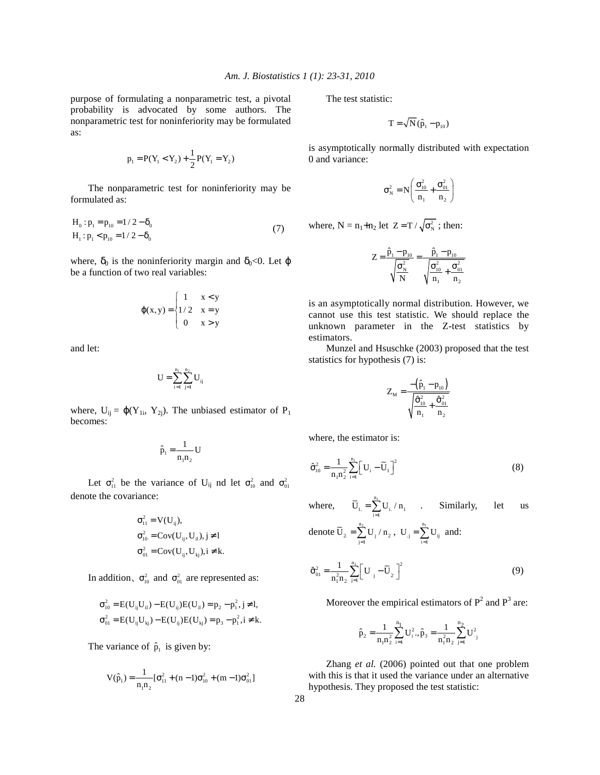purpose of formulating a nonparametric test, a pivotal probability is advocated by some authors. The nonparametric test for noninferiority may be formulated as:

$$
p_1 = P(Y_1 < Y_2) + \frac{1}{2}P(Y_1 = Y_2)
$$

 The nonparametric test for noninferiority may be formulated as:

$$
H_0: p_1 = p_{10} = 1/2 - \delta_0
$$
  
\n
$$
H_1: p_1 < p_{10} = 1/2 - \delta_0
$$
\n(7)

where,  $\delta_0$  is the noninferiority margin and  $\delta_0$ <0. Let  $\varphi$ be a function of two real variables:

$$
\varphi(x, y) = \begin{cases} 1 & x < y \\ 1/2 & x = y \\ 0 & x > y \end{cases}
$$

and let:

$$
U = \sum_{i=1}^{n_1} \sum_{j=1}^{n_2} U_{ij}
$$

where,  $U_{ij} = \varphi(Y_{1i}, Y_{2i})$ . The unbiased estimator of  $P_1$ becomes:

$$
\hat{p}_1 = \frac{1}{n_1 n_2} U
$$

Let  $\sigma_{11}^2$  be the variance of U<sub>ij</sub> nd let  $\sigma_{10}^2$  and  $\sigma_{01}^2$ denote the covariance:

$$
\sigma_{11}^2 = V(U_{ij}),
$$
  
\n
$$
\sigma_{10}^2 = Cov(U_{ij}, U_{il}), j \neq l
$$
  
\n
$$
\sigma_{01}^2 = Cov(U_{ij}, U_{kj}), i \neq k.
$$

In addition,  $\sigma_{10}^2$  and  $\sigma_{01}^2$  are represented as:

$$
\sigma_{10}^2 = E(U_{ij}U_{il}) - E(U_{ij})E(U_{il}) = p_2 - p_1^2, j \neq l,
$$
  
\n
$$
\sigma_{01}^2 = E(U_{ij}U_{kj}) - E(U_{ij})E(U_{kj}) = p_3 - p_1^2, i \neq k.
$$

The variance of  $\hat{p}_1$  is given by:

$$
V(\hat{p}_1) = \frac{1}{n_1 n_2} [\sigma_{11}^2 + (n-1)\sigma_{10}^2 + (m-1)\sigma_{01}^2]
$$

The test statistic:

$$
\mathbf{T} = \sqrt{\mathbf{N} (\hat{\mathbf{p}}_1 - \mathbf{p}_{10})}
$$

is asymptotically normally distributed with expectation 0 and variance:

$$
\sigma_N^2 = N \left( \frac{\sigma_{10}^2}{n_1} + \frac{\sigma_{01}^2}{n_2} \right)
$$

where,  $N = n_1+n_2$  let  $Z = T / \sqrt{\sigma_N^2}$ ; then:

$$
Z=\frac{\hat{p}_{1}-p_{10}}{\sqrt{\frac{\sigma_{N}^{2}}{N}}}=\frac{\hat{p}_{1}-p_{10}}{\sqrt{\frac{\sigma_{10}^{2}}{n_{1}}+\frac{\sigma_{01}^{2}}{n_{2}}}}
$$

is an asymptotically normal distribution. However, we cannot use this test statistic. We should replace the unknown parameter in the Z-test statistics by estimators.

 Munzel and Hsuschke (2003) proposed that the test statistics for hypothesis (7) is:

$$
Z_{\rm M} = \frac{-\left(\hat{p}_1 - p_{10}\right)}{\sqrt{\frac{\hat{\sigma}_{10}^2}{n_1} + \frac{\hat{\sigma}_{01}^2}{n_2}}}
$$

where, the estimator is:

$$
\hat{\sigma}_{10}^{2} = \frac{1}{n_{1}n_{2}^{2}} \sum_{i=1}^{n_{1}} \left[ U_{i} - \overline{U}_{1} \right]^{2}
$$
 (8)

where,  $\overline{U}_1 = \sum_{n=1}^{n_1}$  $\overline{U}_1 = \sum_{i=1}^{n} U_i / n_1$  . Similarly, let us

denote 
$$
\overline{U}_2 = \sum_{j=1}^{n_2} U_j \mathbin{/} n_2
$$
 ,  $U_{.j} = \sum_{i=1}^{n_1} U_{ij}$  and:

$$
\hat{\sigma}_{01}^{2} = \frac{1}{n_{1}^{2}n_{2}} \sum_{j=1}^{n_{2}} \left[ U_{j} - \overline{U}_{2} \right]^{2}
$$
 (9)

Moreover the empirical estimators of  $P^2$  and  $P^3$  are:

$$
\hat{p}_2=\!\frac{1}{n_1n_2^2}\sum_{i=1}^{n_1}\boldsymbol{U}_i^2.,\hat{p}_3=\!\frac{1}{n_1^2n_2}\sum_{j=1}^{n_2}\boldsymbol{U}_{\cdot j}^2
$$

 Zhang *et al.* (2006) pointed out that one problem with this is that it used the variance under an alternative hypothesis. They proposed the test statistic: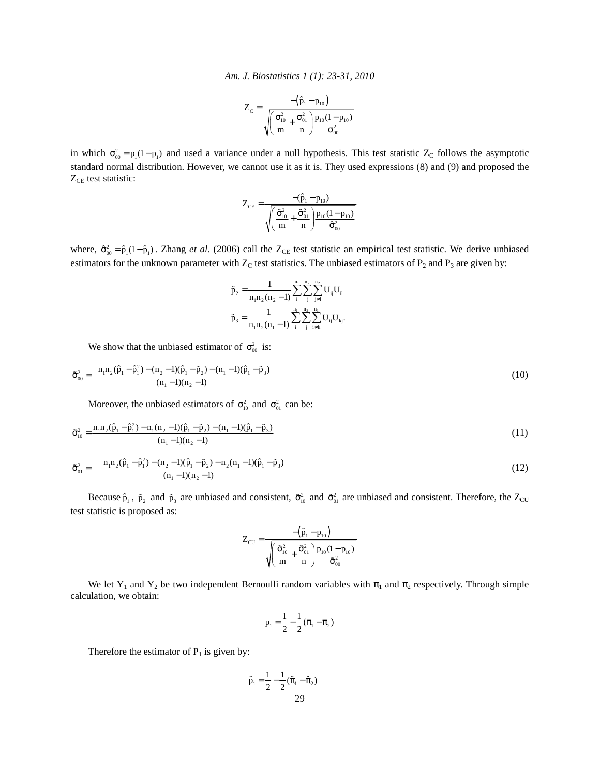*Am. J. Biostatistics 1 (1): 23-31, 2010* 

$$
Z_{C} = \frac{-\left(\hat{p}_{1} - p_{10}\right)}{\sqrt{\left(\frac{\sigma_{10}^{2}}{m} + \frac{\sigma_{01}^{2}}{n}\right) p_{10} (1 - p_{10})}}
$$

in which  $\sigma_{00}^2 = p_1(1-p_1)$  and used a variance under a null hypothesis. This test statistic  $Z_c$  follows the asymptotic standard normal distribution. However, we cannot use it as it is. They used expressions (8) and (9) and proposed the  $Z_{CE}$  test statistic:

$$
Z_{\text{CE}} = \frac{-(\hat{p}_1 - p_{10})}{\sqrt{\left(\frac{\hat{\sigma}^2_{10}}{m} + \frac{\hat{\sigma}^2_{01}}{n}\right) p_{10}(1-p_{10})} }
$$

where,  $\hat{\sigma}_{00}^2 = \hat{p}_1(1-\hat{p}_1)$ . Zhang *et al.* (2006) call the Z<sub>CE</sub> test statistic an empirical test statistic. We derive unbiased estimators for the unknown parameter with  $Z_C$  test statistics. The unbiased estimators of  $P_2$  and  $P_3$  are given by:

$$
\begin{aligned} \tilde{p}_2=&\frac{1}{n_1n_2(n_2-1)}\sum_{i}^{n_1}\sum_{j}^{n_2}\sum_{j\neq i}^{n_2}U_{ij}U_{il}\\ \tilde{p}_3=&\frac{1}{n_1n_2(n_1-1)}\sum_{i}^{n_1}\sum_{j}^{n_2}\sum_{i\neq k}^{n_1}U_{ij}U_{kj}.\end{aligned}
$$

We show that the unbiased estimator of  $\sigma_{00}^2$  is:

$$
\tilde{\sigma}_{00}^{2} = \frac{n_{1}n_{2}(\hat{p}_{1} - \hat{p}_{1}^{2}) - (n_{2} - 1)(\hat{p}_{1} - \tilde{p}_{2}) - (n_{1} - 1)(\hat{p}_{1} - \tilde{p}_{3})}{(n_{1} - 1)(n_{2} - 1)}
$$
\n(10)

Moreover, the unbiased estimators of  $\sigma_{10}^2$  and  $\sigma_{01}^2$  can be:

$$
\tilde{\sigma}_{10}^2 = \frac{n_1 n_2 (\hat{p}_1 - \hat{p}_1^2) - n_1 (n_2 - 1)(\hat{p}_1 - \tilde{p}_2) - (n_1 - 1)(\hat{p}_1 - \tilde{p}_3)}{(n_1 - 1)(n_2 - 1)}
$$
\n(11)

$$
\tilde{\sigma}_{01}^2 = \frac{n_1 n_2 (\hat{p}_1 - \hat{p}_1^2) - (n_2 - 1)(\hat{p}_1 - \tilde{p}_2) - n_2 (n_1 - 1)(\hat{p}_1 - \tilde{p}_3)}{(n_1 - 1)(n_2 - 1)}
$$
(12)

Because  $\hat{p}_1$ ,  $\tilde{p}_2$  and  $\tilde{p}_3$  are unbiased and consistent,  $\tilde{\sigma}_{10}^2$  and  $\tilde{\sigma}_{01}^2$  are unbiased and consistent. Therefore, the Z<sub>CU</sub> test statistic is proposed as:

$$
Z_{\rm CU} = \frac{-\left(\hat{p}_1 - p_{10}\right)}{\sqrt{\left(\frac{\tilde{\sigma}_{10}^2}{m} + \frac{\tilde{\sigma}_{01}^2}{n}\right) \frac{p_{10}(1 - p_{10})}{\tilde{\sigma}_{00}^2}}}
$$

We let Y<sub>1</sub> and Y<sub>2</sub> be two independent Bernoulli random variables with  $\pi_1$  and  $\pi_2$  respectively. Through simple calculation, we obtain:

$$
p_1 = \frac{1}{2} - \frac{1}{2}(\pi_1 - \pi_2)
$$

Therefore the estimator of  $P_1$  is given by:

$$
\hat{p}_1 = \frac{1}{2} - \frac{1}{2} (\hat{\pi}_1 - \hat{\pi}_2)
$$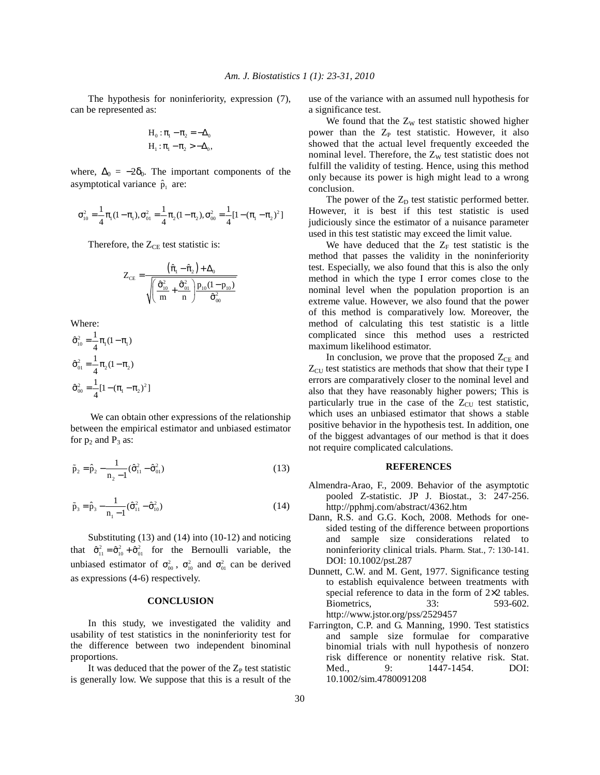The hypothesis for noninferiority, expression (7), can be represented as:

$$
H_0: \pi_1 - \pi_2 = -\Delta_0
$$
  

$$
H_1: \pi_1 - \pi_2 > -\Delta_0,
$$

where,  $\Delta_0 = -2\delta_0$ . The important components of the asymptotical variance  $\hat{p}_1$  are:

$$
\sigma_{10}^2=\frac{1}{4}\pi_1(1-\pi_1), \sigma_{01}^2=\frac{1}{4}\pi_2(1-\pi_2), \sigma_{00}^2=\frac{1}{4}[1-(\pi_1-\pi_2)^2]
$$

Therefore, the  $Z_{CE}$  test statistic is:

$$
Z_{CE} = \frac{(\hat{\pi}_1 - \hat{\pi}_2) + \Delta_0}{\sqrt{\left(\frac{\hat{\sigma}_{10}^2}{m} + \frac{\hat{\sigma}_{01}^2}{n}\right) P_{10}(1 - p_{10})}}
$$

Where:

$$
\hat{\sigma}_{10}^{2} = \frac{1}{4} \pi_{1} (1 - \pi_{1})
$$

$$
\hat{\sigma}_{01}^{2} = \frac{1}{4} \pi_{2} (1 - \pi_{2})
$$

$$
\hat{\sigma}_{00}^{2} = \frac{1}{4} [1 - (\pi_{1} - \pi_{2})^{2}]
$$

 We can obtain other expressions of the relationship between the empirical estimator and unbiased estimator for  $p_2$  and  $P_3$  as:

$$
\tilde{p}_2 = \hat{p}_2 - \frac{1}{n_2 - 1} (\hat{\sigma}_{11}^2 - \hat{\sigma}_{01}^2)
$$
\n(13)

$$
\tilde{p}_3 = \hat{p}_3 - \frac{1}{n_1 - 1} (\hat{\sigma}_{11}^2 - \hat{\sigma}_{10}^2)
$$
\n(14)

 Substituting (13) and (14) into (10-12) and noticing that  $\hat{\sigma}_{11}^2 = \hat{\sigma}_{10}^2 + \hat{\sigma}_{01}^2$  for the Bernoulli variable, the unbiased estimator of  $\sigma_{00}^2$ ,  $\sigma_{10}^2$  and  $\sigma_{01}^2$  can be derived as expressions (4-6) respectively.

#### **CONCLUSION**

 In this study, we investigated the validity and usability of test statistics in the noninferiority test for the difference between two independent binominal proportions.

It was deduced that the power of the  $Z_{P}$  test statistic is generally low. We suppose that this is a result of the

use of the variance with an assumed null hypothesis for a significance test.

We found that the  $Z_W$  test statistic showed higher power than the  $Z_P$  test statistic. However, it also showed that the actual level frequently exceeded the nominal level. Therefore, the  $Z_W$  test statistic does not fulfill the validity of testing. Hence, using this method only because its power is high might lead to a wrong conclusion.

The power of the  $Z<sub>D</sub>$  test statistic performed better. However, it is best if this test statistic is used judiciously since the estimator of a nuisance parameter used in this test statistic may exceed the limit value.

We have deduced that the  $Z_F$  test statistic is the method that passes the validity in the noninferiority test. Especially, we also found that this is also the only method in which the type I error comes close to the nominal level when the population proportion is an extreme value. However, we also found that the power of this method is comparatively low. Moreover, the method of calculating this test statistic is a little complicated since this method uses a restricted maximum likelihood estimator.

In conclusion, we prove that the proposed  $Z_{CE}$  and  $Z_{\text{CU}}$  test statistics are methods that show that their type I errors are comparatively closer to the nominal level and also that they have reasonably higher powers; This is particularly true in the case of the  $Z_{\text{CU}}$  test statistic, which uses an unbiased estimator that shows a stable positive behavior in the hypothesis test. In addition, one of the biggest advantages of our method is that it does not require complicated calculations.

#### **REFERENCES**

- Almendra-Arao, F., 2009. Behavior of the asymptotic pooled Z-statistic. JP J. Biostat., 3: 247-256. http://pphmj.com/abstract/4362.htm
- Dann, R.S. and G.G. Koch, 2008. Methods for onesided testing of the difference between proportions and sample size considerations related to noninferiority clinical trials. Pharm. Stat., 7: 130-141. DOI: 10.1002/pst.287
- Dunnett, C.W. and M. Gent, 1977. Significance testing to establish equivalence between treatments with special reference to data in the form of  $2\times 2$  tables. Biometrics, 33: 593-602. http://www.jstor.org/pss/2529457
- Farrington, C.P. and G. Manning, 1990. Test statistics and sample size formulae for comparative binomial trials with null hypothesis of nonzero risk difference or nonentity relative risk. Stat. Med., 9: 1447-1454. DOI: 10.1002/sim.4780091208